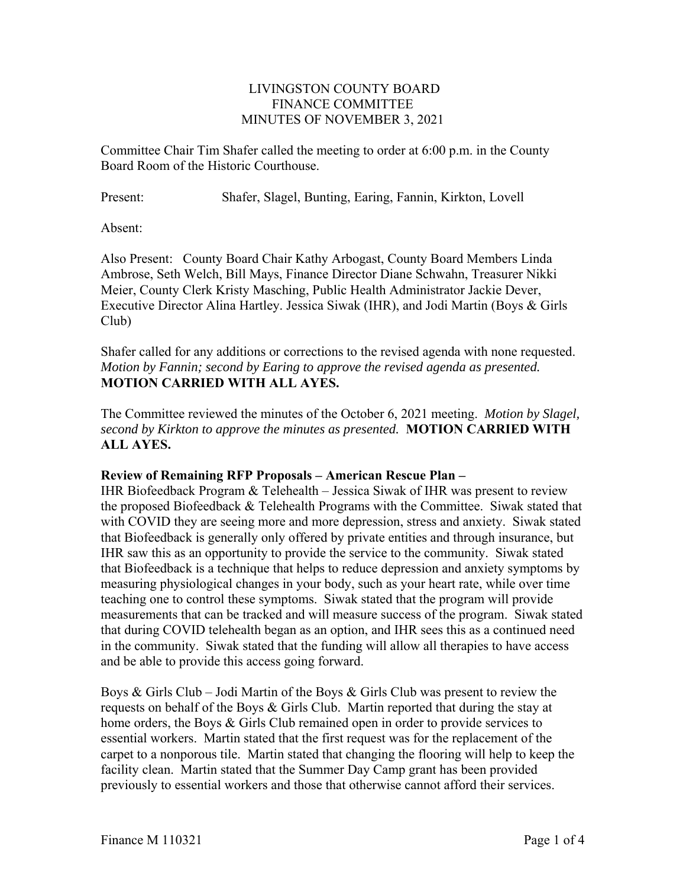## LIVINGSTON COUNTY BOARD FINANCE COMMITTEE MINUTES OF NOVEMBER 3, 2021

Committee Chair Tim Shafer called the meeting to order at 6:00 p.m. in the County Board Room of the Historic Courthouse.

Present: Shafer, Slagel, Bunting, Earing, Fannin, Kirkton, Lovell

Absent:

Also Present: County Board Chair Kathy Arbogast, County Board Members Linda Ambrose, Seth Welch, Bill Mays, Finance Director Diane Schwahn, Treasurer Nikki Meier, County Clerk Kristy Masching, Public Health Administrator Jackie Dever, Executive Director Alina Hartley. Jessica Siwak (IHR), and Jodi Martin (Boys & Girls Club)

Shafer called for any additions or corrections to the revised agenda with none requested. *Motion by Fannin; second by Earing to approve the revised agenda as presented.*  **MOTION CARRIED WITH ALL AYES.** 

The Committee reviewed the minutes of the October 6, 2021 meeting. *Motion by Slagel, second by Kirkton to approve the minutes as presented.* **MOTION CARRIED WITH ALL AYES.**

## **Review of Remaining RFP Proposals – American Rescue Plan –**

IHR Biofeedback Program & Telehealth – Jessica Siwak of IHR was present to review the proposed Biofeedback & Telehealth Programs with the Committee. Siwak stated that with COVID they are seeing more and more depression, stress and anxiety. Siwak stated that Biofeedback is generally only offered by private entities and through insurance, but IHR saw this as an opportunity to provide the service to the community. Siwak stated that Biofeedback is a technique that helps to reduce depression and anxiety symptoms by measuring physiological changes in your body, such as your heart rate, while over time teaching one to control these symptoms. Siwak stated that the program will provide measurements that can be tracked and will measure success of the program. Siwak stated that during COVID telehealth began as an option, and IHR sees this as a continued need in the community. Siwak stated that the funding will allow all therapies to have access and be able to provide this access going forward.

Boys & Girls Club – Jodi Martin of the Boys & Girls Club was present to review the requests on behalf of the Boys & Girls Club. Martin reported that during the stay at home orders, the Boys & Girls Club remained open in order to provide services to essential workers. Martin stated that the first request was for the replacement of the carpet to a nonporous tile. Martin stated that changing the flooring will help to keep the facility clean. Martin stated that the Summer Day Camp grant has been provided previously to essential workers and those that otherwise cannot afford their services.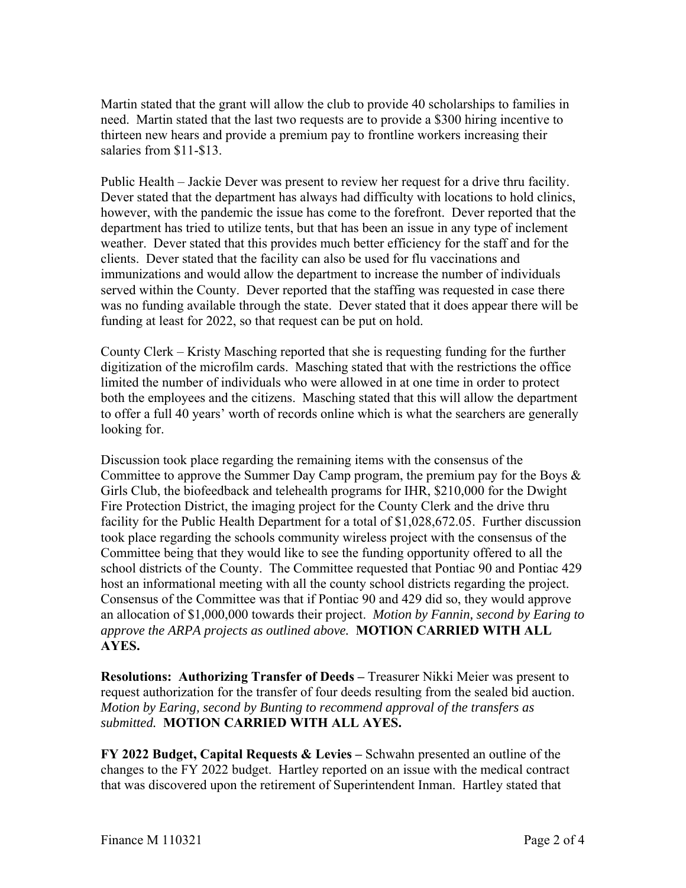Martin stated that the grant will allow the club to provide 40 scholarships to families in need. Martin stated that the last two requests are to provide a \$300 hiring incentive to thirteen new hears and provide a premium pay to frontline workers increasing their salaries from \$11-\$13.

Public Health – Jackie Dever was present to review her request for a drive thru facility. Dever stated that the department has always had difficulty with locations to hold clinics, however, with the pandemic the issue has come to the forefront. Dever reported that the department has tried to utilize tents, but that has been an issue in any type of inclement weather. Dever stated that this provides much better efficiency for the staff and for the clients. Dever stated that the facility can also be used for flu vaccinations and immunizations and would allow the department to increase the number of individuals served within the County. Dever reported that the staffing was requested in case there was no funding available through the state. Dever stated that it does appear there will be funding at least for 2022, so that request can be put on hold.

County Clerk – Kristy Masching reported that she is requesting funding for the further digitization of the microfilm cards. Masching stated that with the restrictions the office limited the number of individuals who were allowed in at one time in order to protect both the employees and the citizens. Masching stated that this will allow the department to offer a full 40 years' worth of records online which is what the searchers are generally looking for.

Discussion took place regarding the remaining items with the consensus of the Committee to approve the Summer Day Camp program, the premium pay for the Boys & Girls Club, the biofeedback and telehealth programs for IHR, \$210,000 for the Dwight Fire Protection District, the imaging project for the County Clerk and the drive thru facility for the Public Health Department for a total of \$1,028,672.05. Further discussion took place regarding the schools community wireless project with the consensus of the Committee being that they would like to see the funding opportunity offered to all the school districts of the County. The Committee requested that Pontiac 90 and Pontiac 429 host an informational meeting with all the county school districts regarding the project. Consensus of the Committee was that if Pontiac 90 and 429 did so, they would approve an allocation of \$1,000,000 towards their project. *Motion by Fannin, second by Earing to approve the ARPA projects as outlined above.* **MOTION CARRIED WITH ALL AYES.** 

**Resolutions: Authorizing Transfer of Deeds – Treasurer Nikki Meier was present to** request authorization for the transfer of four deeds resulting from the sealed bid auction. *Motion by Earing, second by Bunting to recommend approval of the transfers as submitted.* **MOTION CARRIED WITH ALL AYES.** 

**FY 2022 Budget, Capital Requests & Levies –** Schwahn presented an outline of the changes to the FY 2022 budget. Hartley reported on an issue with the medical contract that was discovered upon the retirement of Superintendent Inman. Hartley stated that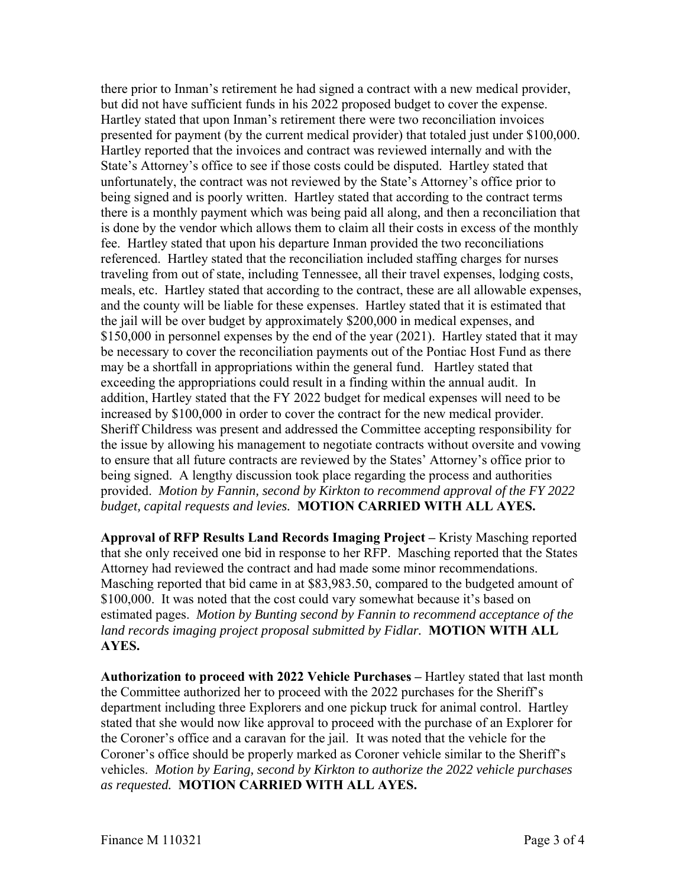there prior to Inman's retirement he had signed a contract with a new medical provider, but did not have sufficient funds in his 2022 proposed budget to cover the expense. Hartley stated that upon Inman's retirement there were two reconciliation invoices presented for payment (by the current medical provider) that totaled just under \$100,000. Hartley reported that the invoices and contract was reviewed internally and with the State's Attorney's office to see if those costs could be disputed. Hartley stated that unfortunately, the contract was not reviewed by the State's Attorney's office prior to being signed and is poorly written. Hartley stated that according to the contract terms there is a monthly payment which was being paid all along, and then a reconciliation that is done by the vendor which allows them to claim all their costs in excess of the monthly fee. Hartley stated that upon his departure Inman provided the two reconciliations referenced. Hartley stated that the reconciliation included staffing charges for nurses traveling from out of state, including Tennessee, all their travel expenses, lodging costs, meals, etc. Hartley stated that according to the contract, these are all allowable expenses, and the county will be liable for these expenses. Hartley stated that it is estimated that the jail will be over budget by approximately \$200,000 in medical expenses, and \$150,000 in personnel expenses by the end of the year (2021). Hartley stated that it may be necessary to cover the reconciliation payments out of the Pontiac Host Fund as there may be a shortfall in appropriations within the general fund. Hartley stated that exceeding the appropriations could result in a finding within the annual audit. In addition, Hartley stated that the FY 2022 budget for medical expenses will need to be increased by \$100,000 in order to cover the contract for the new medical provider. Sheriff Childress was present and addressed the Committee accepting responsibility for the issue by allowing his management to negotiate contracts without oversite and vowing to ensure that all future contracts are reviewed by the States' Attorney's office prior to being signed. A lengthy discussion took place regarding the process and authorities provided. *Motion by Fannin, second by Kirkton to recommend approval of the FY 2022 budget, capital requests and levies.* **MOTION CARRIED WITH ALL AYES.** 

**Approval of RFP Results Land Records Imaging Project –** Kristy Masching reported that she only received one bid in response to her RFP. Masching reported that the States Attorney had reviewed the contract and had made some minor recommendations. Masching reported that bid came in at \$83,983.50, compared to the budgeted amount of \$100,000. It was noted that the cost could vary somewhat because it's based on estimated pages. *Motion by Bunting second by Fannin to recommend acceptance of the land records imaging project proposal submitted by Fidlar.* **MOTION WITH ALL AYES.** 

**Authorization to proceed with 2022 Vehicle Purchases –** Hartley stated that last month the Committee authorized her to proceed with the 2022 purchases for the Sheriff's department including three Explorers and one pickup truck for animal control. Hartley stated that she would now like approval to proceed with the purchase of an Explorer for the Coroner's office and a caravan for the jail. It was noted that the vehicle for the Coroner's office should be properly marked as Coroner vehicle similar to the Sheriff's vehicles. *Motion by Earing, second by Kirkton to authorize the 2022 vehicle purchases as requested.* **MOTION CARRIED WITH ALL AYES.**